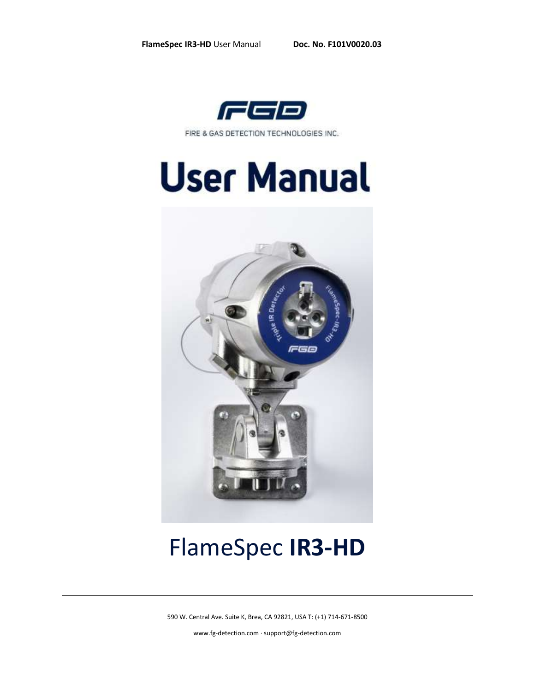

FIRE & GAS DETECTION TECHNOLOGIES INC.

# **User Manual**



## FlameSpec **IR3-HD**

590 W. Central Ave. Suite K, Brea, CA 92821, USA T: (+1) 714-671-8500

[www.fg-detection.com](http://www.fg-detection.com/) · support@fg-detection.com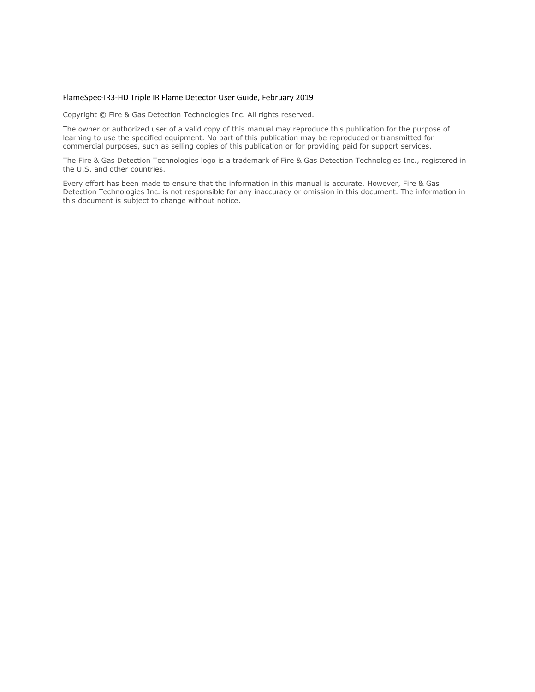#### FlameSpec-IR3-HD Triple IR Flame Detector User Guide, February 2019

Copyright © Fire & Gas Detection Technologies Inc. All rights reserved.

The owner or authorized user of a valid copy of this manual may reproduce this publication for the purpose of learning to use the specified equipment. No part of this publication may be reproduced or transmitted for commercial purposes, such as selling copies of this publication or for providing paid for support services.

The Fire & Gas Detection Technologies logo is a trademark of Fire & Gas Detection Technologies Inc., registered in the U.S. and other countries.

Every effort has been made to ensure that the information in this manual is accurate. However, Fire & Gas Detection Technologies Inc. is not responsible for any inaccuracy or omission in this document. The information in this document is subject to change without notice.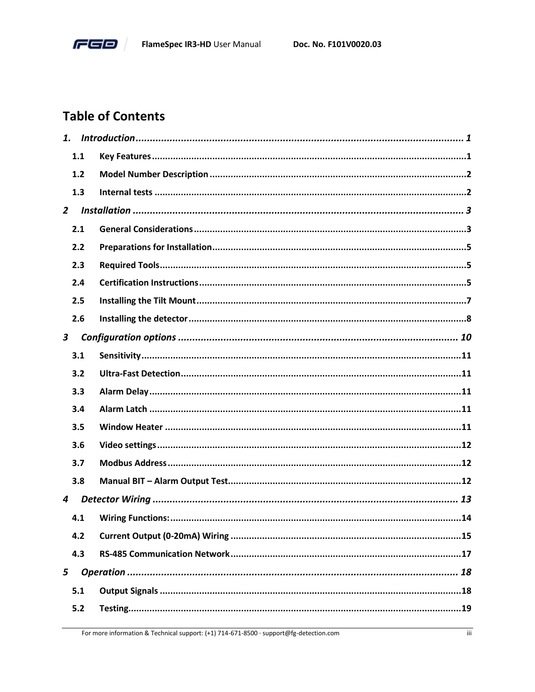

#### **Table of Contents**

| 1.             |     |  |
|----------------|-----|--|
|                | 1.1 |  |
|                | 1.2 |  |
|                | 1.3 |  |
| $\overline{2}$ |     |  |
|                | 2.1 |  |
|                | 2.2 |  |
|                | 2.3 |  |
|                | 2.4 |  |
|                | 2.5 |  |
|                | 2.6 |  |
| $\mathbf{3}$   |     |  |
|                | 3.1 |  |
|                | 3.2 |  |
|                | 3.3 |  |
|                | 3.4 |  |
|                | 3.5 |  |
|                | 3.6 |  |
|                | 3.7 |  |
|                | 3.8 |  |
| 4              |     |  |
|                | 4.1 |  |
|                | 4.2 |  |
|                | 4.3 |  |
| 5              |     |  |
|                | 5.1 |  |
|                | 5.2 |  |
|                |     |  |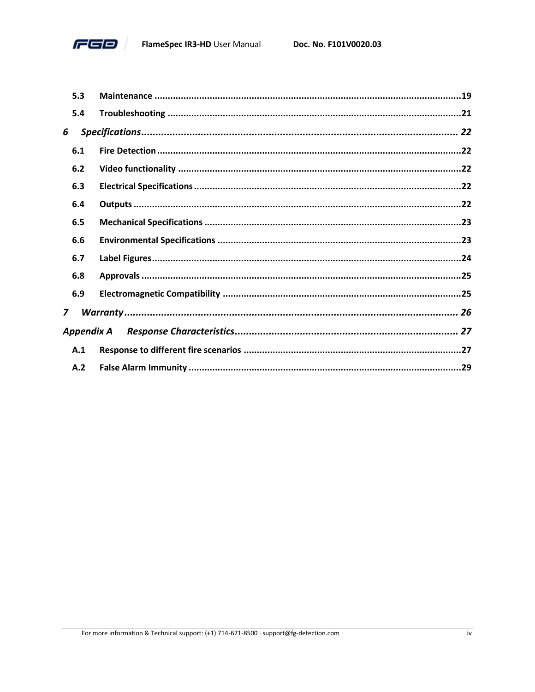

|     | 5.3        |  |
|-----|------------|--|
|     | 5.4        |  |
| 6   |            |  |
| 6.1 |            |  |
| 6.2 |            |  |
| 6.3 |            |  |
|     | 6.4        |  |
| 6.5 |            |  |
|     | 6.6        |  |
| 6.7 |            |  |
| 6.8 |            |  |
|     | 6.9        |  |
| 7   |            |  |
|     | Appendix A |  |
|     | A.1        |  |
|     | A.2        |  |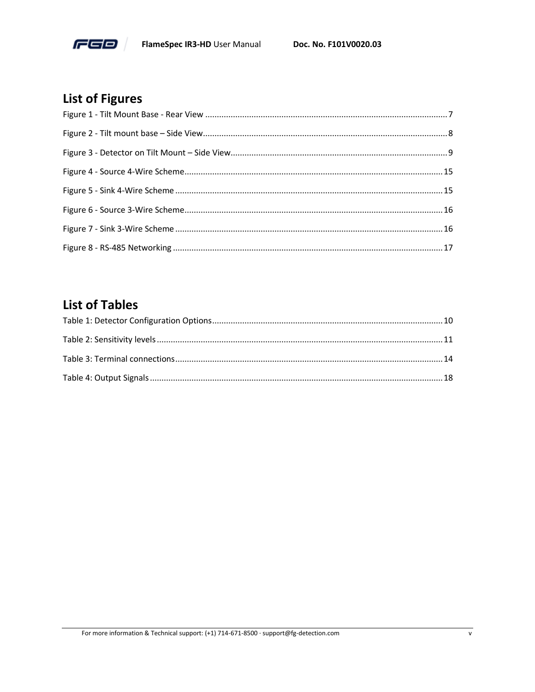

### **List of Figures**

#### **List of Tables**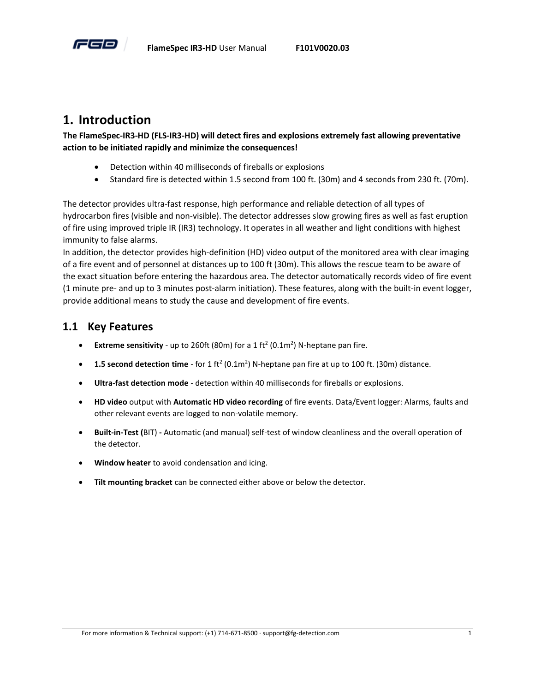

#### <span id="page-5-0"></span>**1. Introduction**

**The FlameSpec-IR3-HD (FLS-IR3-HD) will detect fires and explosions extremely fast allowing preventative action to be initiated rapidly and minimize the consequences!**

- Detection within 40 milliseconds of fireballs or explosions
- Standard fire is detected within 1.5 second from 100 ft. (30m) and 4 seconds from 230 ft. (70m).

The detector provides ultra-fast response, high performance and reliable detection of all types of hydrocarbon fires (visible and non-visible). The detector addresses slow growing fires as well as fast eruption of fire using improved triple IR (IR3) technology. It operates in all weather and light conditions with highest immunity to false alarms.

In addition, the detector provides high-definition (HD) video output of the monitored area with clear imaging of a fire event and of personnel at distances up to 100 ft (30m). This allows the rescue team to be aware of the exact situation before entering the hazardous area. The detector automatically records video of fire event (1 minute pre- and up to 3 minutes post-alarm initiation). These features, along with the built-in event logger, provide additional means to study the cause and development of fire events.

#### <span id="page-5-1"></span>**1.1 Key Features**

- **•** Extreme sensitivity up to 260ft (80m) for a 1 ft<sup>2</sup> (0.1m<sup>2</sup>) N-heptane pan fire.
- **1.5 second detection time** for 1 ft<sup>2</sup> (0.1m<sup>2</sup>) N-heptane pan fire at up to 100 ft. (30m) distance.
- **Ultra-fast detection mode** detection within 40 milliseconds for fireballs or explosions.
- **HD video** output with **Automatic HD video recording** of fire events. Data/Event logger: Alarms, faults and other relevant events are logged to non-volatile memory.
- **Built-in-Test (**BIT) **-** Automatic (and manual) self-test of window cleanliness and the overall operation of the detector.
- **Window heater** to avoid condensation and icing.
- **Tilt mounting bracket** can be connected either above or below the detector.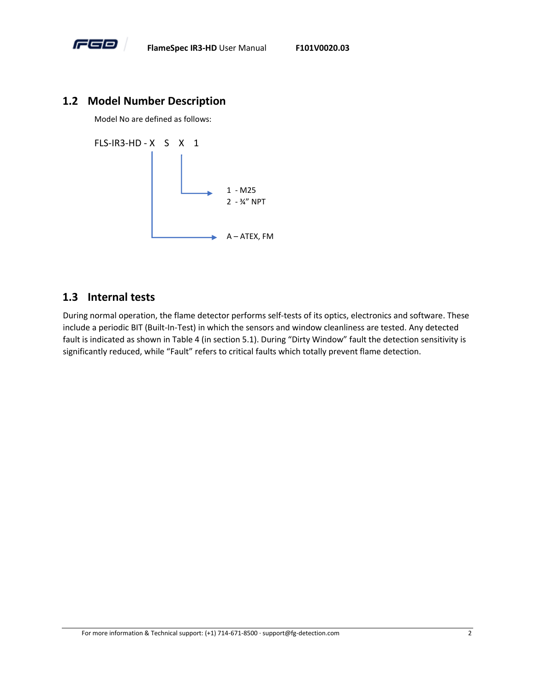

#### <span id="page-6-0"></span>**1.2 Model Number Description**

Model No are defined as follows:

FLS-IR3-HD - X S X 1



#### <span id="page-6-1"></span>**1.3 Internal tests**

During normal operation, the flame detector performs self-tests of its optics, electronics and software. These include a periodic BIT (Built-In-Test) in which the sensors and window cleanliness are tested. Any detected fault is indicated as shown in [Table 4](#page-22-2) (in section [5.1\)](#page-22-1). During "Dirty Window" fault the detection sensitivity is significantly reduced, while "Fault" refers to critical faults which totally prevent flame detection.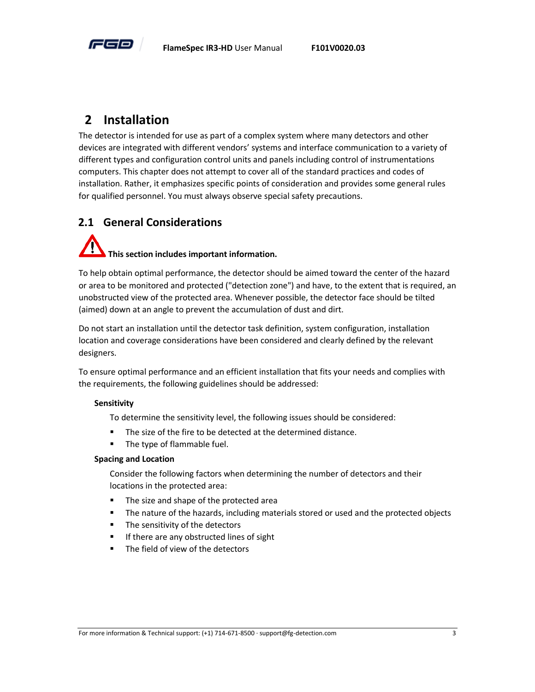

#### <span id="page-7-0"></span>**2 Installation**

The detector is intended for use as part of a complex system where many detectors and other devices are integrated with different vendors' systems and interface communication to a variety of different types and configuration control units and panels including control of instrumentations computers. This chapter does not attempt to cover all of the standard practices and codes of installation. Rather, it emphasizes specific points of consideration and provides some general rules for qualified personnel. You must always observe special safety precautions.

#### <span id="page-7-1"></span>**2.1 General Considerations**

### **This section includes important information.**

To help obtain optimal performance, the detector should be aimed toward the center of the hazard or area to be monitored and protected ("detection zone") and have, to the extent that is required, an unobstructed view of the protected area. Whenever possible, the detector face should be tilted (aimed) down at an angle to prevent the accumulation of dust and dirt.

Do not start an installation until the detector task definition, system configuration, installation location and coverage considerations have been considered and clearly defined by the relevant designers.

To ensure optimal performance and an efficient installation that fits your needs and complies with the requirements, the following guidelines should be addressed:

#### **Sensitivity**

To determine the sensitivity level, the following issues should be considered:

- The size of the fire to be detected at the determined distance.
- The type of flammable fuel.

#### **Spacing and Location**

Consider the following factors when determining the number of detectors and their locations in the protected area:

- The size and shape of the protected area
- **•** The nature of the hazards, including materials stored or used and the protected objects
- The sensitivity of the detectors
- If there are any obstructed lines of sight
- The field of view of the detectors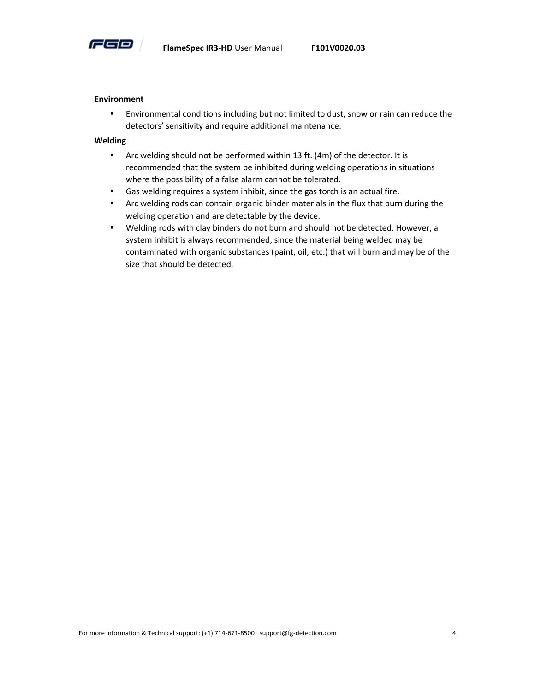

#### **Environment**

**Environmental conditions including but not limited to dust, snow or rain can reduce the** detectors' sensitivity and require additional maintenance.

#### **Welding**

- Arc welding should not be performed within 13 ft. (4m) of the detector. It is recommended that the system be inhibited during welding operations in situations where the possibility of a false alarm cannot be tolerated.
- Gas welding requires a system inhibit, since the gas torch is an actual fire.
- Arc welding rods can contain organic binder materials in the flux that burn during the welding operation and are detectable by the device.
- Welding rods with clay binders do not burn and should not be detected. However, a system inhibit is always recommended, since the material being welded may be contaminated with organic substances (paint, oil, etc.) that will burn and may be of the size that should be detected.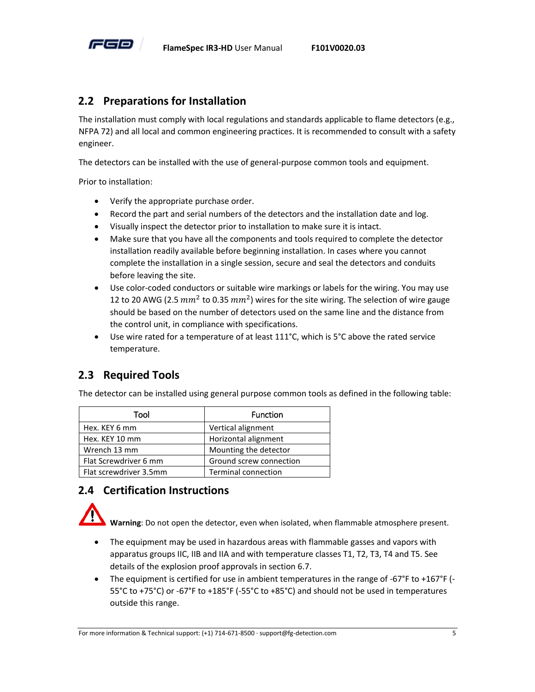

#### <span id="page-9-0"></span>**2.2 Preparations for Installation**

The installation must comply with local regulations and standards applicable to flame detectors (e.g., NFPA 72) and all local and common engineering practices. It is recommended to consult with a safety engineer.

The detectors can be installed with the use of general-purpose common tools and equipment.

Prior to installation:

- Verify the appropriate purchase order.
- Record the part and serial numbers of the detectors and the installation date and log.
- Visually inspect the detector prior to installation to make sure it is intact.
- Make sure that you have all the components and tools required to complete the detector installation readily available before beginning installation. In cases where you cannot complete the installation in a single session, secure and seal the detectors and conduits before leaving the site.
- Use color-coded conductors or suitable wire markings or labels for the wiring. You may use 12 to 20 AWG (2.5  $mm^2$  to 0.35  $mm^2$ ) wires for the site wiring. The selection of wire gauge should be based on the number of detectors used on the same line and the distance from the control unit, in compliance with specifications.
- Use wire rated for a temperature of at least 111°C, which is 5°C above the rated service temperature.

#### <span id="page-9-1"></span>**2.3 Required Tools**

The detector can be installed using general purpose common tools as defined in the following table:

| Tool                   | <b>Function</b>            |
|------------------------|----------------------------|
| Hex. KEY 6 mm          | Vertical alignment         |
| Hex. KEY 10 mm         | Horizontal alignment       |
| Wrench 13 mm           | Mounting the detector      |
| Flat Screwdriver 6 mm  | Ground screw connection    |
| Flat screwdriver 3.5mm | <b>Terminal connection</b> |

#### <span id="page-9-2"></span>**2.4 Certification Instructions**

**Warning**: Do not open the detector, even when isolated, when flammable atmosphere present.

- The equipment may be used in hazardous areas with flammable gasses and vapors with apparatus groups IIC, IIB and IIA and with temperature classes T1, T2, T3, T4 and T5. See details of the explosion proof approvals in sectio[n 6.7.](#page-28-0)
- The equipment is certified for use in ambient temperatures in the range of -67°F to +167°F (- 55°C to +75°C) or -67°F to +185°F (-55°C to +85°C) and should not be used in temperatures outside this range.

For more information & Technical support: (+1) 714-671-8500 · support@fg-detection.com 5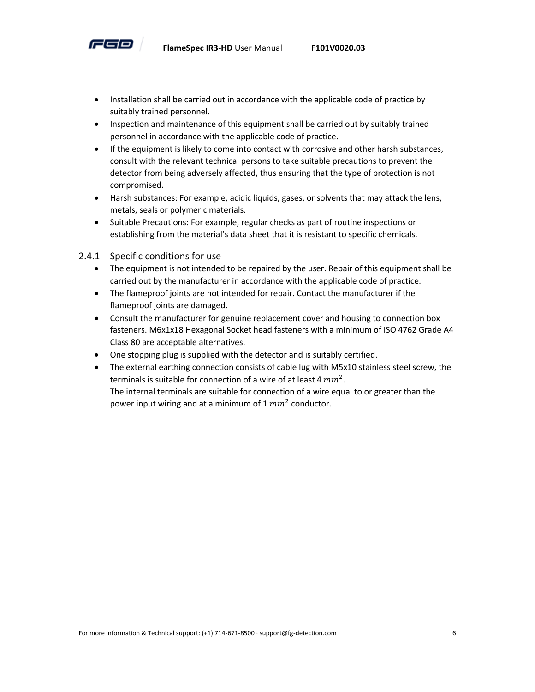

- Installation shall be carried out in accordance with the applicable code of practice by suitably trained personnel.
- Inspection and maintenance of this equipment shall be carried out by suitably trained personnel in accordance with the applicable code of practice.
- If the equipment is likely to come into contact with corrosive and other harsh substances, consult with the relevant technical persons to take suitable precautions to prevent the detector from being adversely affected, thus ensuring that the type of protection is not compromised.
- Harsh substances: For example, acidic liquids, gases, or solvents that may attack the lens, metals, seals or polymeric materials.
- Suitable Precautions: For example, regular checks as part of routine inspections or establishing from the material's data sheet that it is resistant to specific chemicals.
- 2.4.1 Specific conditions for use
	- The equipment is not intended to be repaired by the user. Repair of this equipment shall be carried out by the manufacturer in accordance with the applicable code of practice.
	- The flameproof joints are not intended for repair. Contact the manufacturer if the flameproof joints are damaged.
	- Consult the manufacturer for genuine replacement cover and housing to connection box fasteners. M6x1x18 Hexagonal Socket head fasteners with a minimum of ISO 4762 Grade A4 Class 80 are acceptable alternatives.
	- One stopping plug is supplied with the detector and is suitably certified.
	- The external earthing connection consists of cable lug with M5x10 stainless steel screw, the terminals is suitable for connection of a wire of at least 4  $mm^2$ . The internal terminals are suitable for connection of a wire equal to or greater than the power input wiring and at a minimum of 1  $mm^2$  conductor.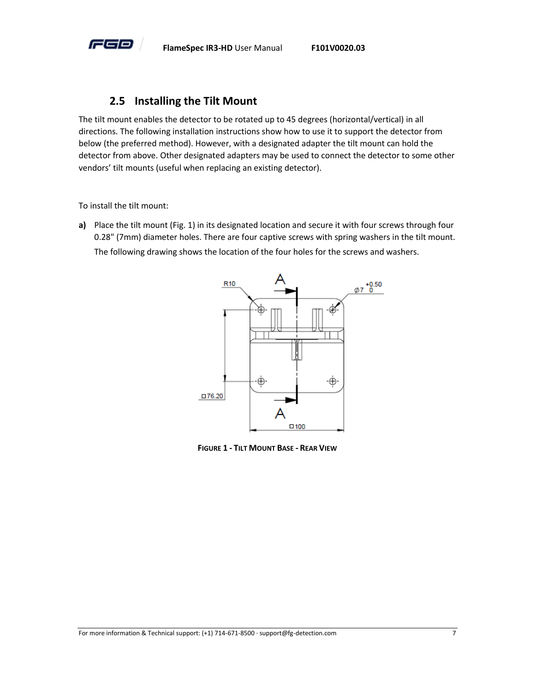

#### **2.5 Installing the Tilt Mount**

<span id="page-11-0"></span>The tilt mount enables the detector to be rotated up to 45 degrees (horizontal/vertical) in all directions. The following installation instructions show how to use it to support the detector from below (the preferred method). However, with a designated adapter the tilt mount can hold the detector from above. Other designated adapters may be used to connect the detector to some other vendors' tilt mounts (useful when replacing an existing detector).

To install the tilt mount:

**a)** Place the tilt mount (Fig. 1) in its designated location and secure it with four screws through four 0.28" (7mm) diameter holes. There are four captive screws with spring washers in the tilt mount. The following drawing shows the location of the four holes for the screws and washers.



<span id="page-11-1"></span>**FIGURE 1 - TILT MOUNT BASE - REAR VIEW**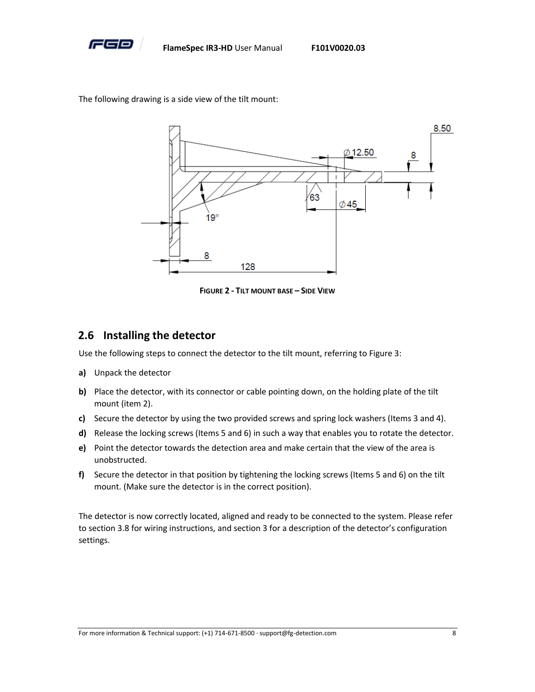

The following drawing is a side view of the tilt mount:



**FIGURE 2 - TILT MOUNT BASE – SIDE VIEW**

#### <span id="page-12-1"></span><span id="page-12-0"></span>**2.6 Installing the detector**

Use the following steps to connect the detector to the tilt mount, referring t[o Figure 3:](#page-13-0)

- **a)** Unpack the detector
- **b)** Place the detector, with its connector or cable pointing down, on the holding plate of the tilt mount (item 2).
- **c)** Secure the detector by using the two provided screws and spring lock washers (Items 3 and 4).
- **d)** Release the locking screws (Items 5 and 6) in such a way that enables you to rotate the detector.
- **e)** Point the detector towards the detection area and make certain that the view of the area is unobstructed.
- **f)** Secure the detector in that position by tightening the locking screws (Items 5 and 6) on the tilt mount. (Make sure the detector is in the correct position).

The detector is now correctly located, aligned and ready to be connected to the system. Please refer to sectio[n 3.8](#page-16-2) for wiring instructions, and sectio[n 3](#page-14-0) for a description of the detector's configuration settings.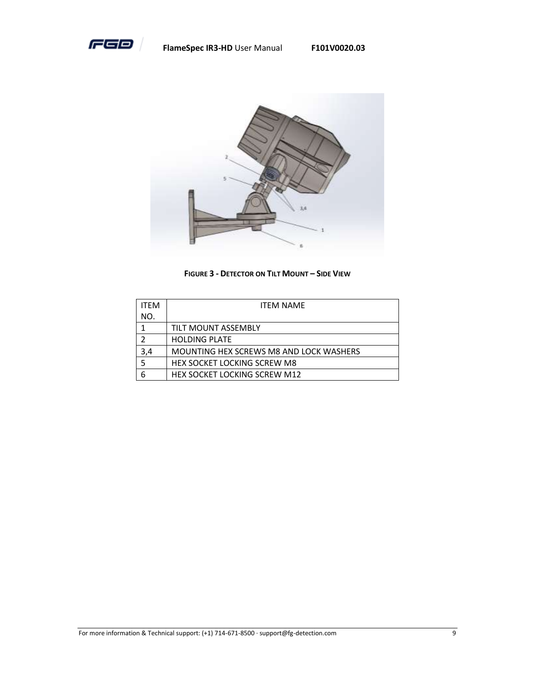

**FlameSpec IR3-HD** User Manual **F101V0020.03**



**FIGURE 3 - DETECTOR ON TILT MOUNT – SIDE VIEW**

<span id="page-13-0"></span>

| <b>ITFM</b> | <b>ITFM NAMF</b>                        |  |  |  |
|-------------|-----------------------------------------|--|--|--|
| NO.         |                                         |  |  |  |
|             | <b>TILT MOUNT ASSEMBLY</b>              |  |  |  |
| 2           | <b>HOLDING PLATE</b>                    |  |  |  |
| 3,4         | MOUNTING HEX SCREWS M8 AND LOCK WASHERS |  |  |  |
| 5           | <b>HEX SOCKET LOCKING SCREW M8</b>      |  |  |  |
| 6           | <b>HEX SOCKET LOCKING SCREW M12</b>     |  |  |  |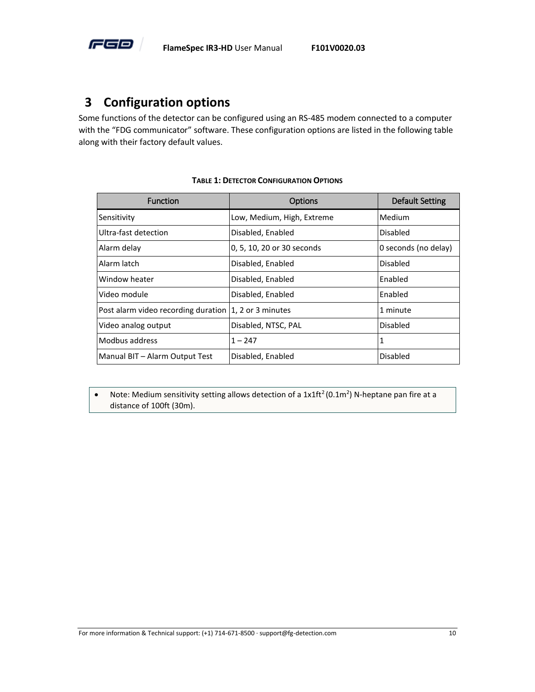

#### <span id="page-14-0"></span>**3 Configuration options**

Some functions of the detector can be configured using an RS-485 modem connected to a computer with the "FDG communicator" software. These configuration options are listed in the following table along with their factory default values.

<span id="page-14-1"></span>

| <b>Function</b>                                         | Options                    | Default Setting      |
|---------------------------------------------------------|----------------------------|----------------------|
| Sensitivity                                             | Low, Medium, High, Extreme | Medium               |
| Ultra-fast detection                                    | Disabled, Enabled          | Disabled             |
| Alarm delay                                             | 0, 5, 10, 20 or 30 seconds | 0 seconds (no delay) |
| Alarm latch                                             | Disabled, Enabled          | Disabled             |
| Window heater                                           | Disabled, Enabled          | Enabled              |
| Video module                                            | Disabled, Enabled          | Enabled              |
| Post alarm video recording duration   1, 2 or 3 minutes |                            | 1 minute             |
| Video analog output                                     | Disabled, NTSC, PAL        | Disabled             |
| Modbus address                                          | $1 - 247$                  | 1                    |
| Manual BIT - Alarm Output Test                          | Disabled, Enabled          | <b>Disabled</b>      |

#### **TABLE 1: DETECTOR CONFIGURATION OPTIONS**

• Note: Medium sensitivity setting allows detection of a  $1x1ft^2(0.1m^2)$  N-heptane pan fire at a distance of 100ft (30m).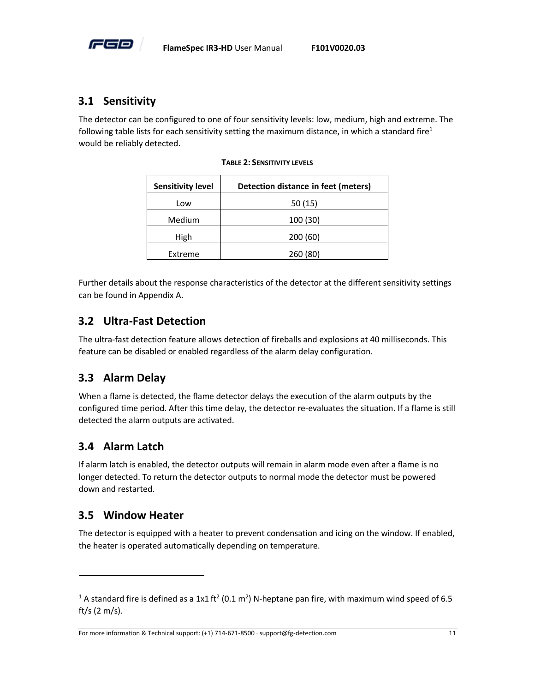

#### <span id="page-15-0"></span>**3.1 Sensitivity**

<span id="page-15-5"></span>The detector can be configured to one of four sensitivity levels: low, medium, high and extreme. The following table lists for each sensitivity setting the maximum distance, in which a standard fire<sup>1</sup> would be reliably detected.

| <b>Sensitivity level</b> | Detection distance in feet (meters) |
|--------------------------|-------------------------------------|
| Low                      | 50(15)                              |
| Medium                   | 100 (30)                            |
| High                     | 200(60)                             |
| Extreme                  | 260 (80)                            |

**TABLE 2: SENSITIVITY LEVELS**

Further details about the response characteristics of the detector at the different sensitivity settings can be found i[n Appendix A.](#page-31-0)

#### <span id="page-15-1"></span>**3.2 Ultra-Fast Detection**

The ultra-fast detection feature allows detection of fireballs and explosions at 40 milliseconds. This feature can be disabled or enabled regardless of the alarm delay configuration.

#### <span id="page-15-2"></span>**3.3 Alarm Delay**

When a flame is detected, the flame detector delays the execution of the alarm outputs by the configured time period. After this time delay, the detector re-evaluates the situation. If a flame is still detected the alarm outputs are activated.

#### <span id="page-15-3"></span>**3.4 Alarm Latch**

If alarm latch is enabled, the detector outputs will remain in alarm mode even after a flame is no longer detected. To return the detector outputs to normal mode the detector must be powered down and restarted.

#### <span id="page-15-4"></span>**3.5 Window Heater**

 $\overline{a}$ 

The detector is equipped with a heater to prevent condensation and icing on the window. If enabled, the heater is operated automatically depending on temperature.

<sup>&</sup>lt;sup>1</sup> A standard fire is defined as a 1x1 ft<sup>2</sup> (0.1 m<sup>2</sup>) N-heptane pan fire, with maximum wind speed of 6.5 ft/s (2 m/s).

For more information & Technical support: (+1) 714-671-8500 · support@fg-detection.com 11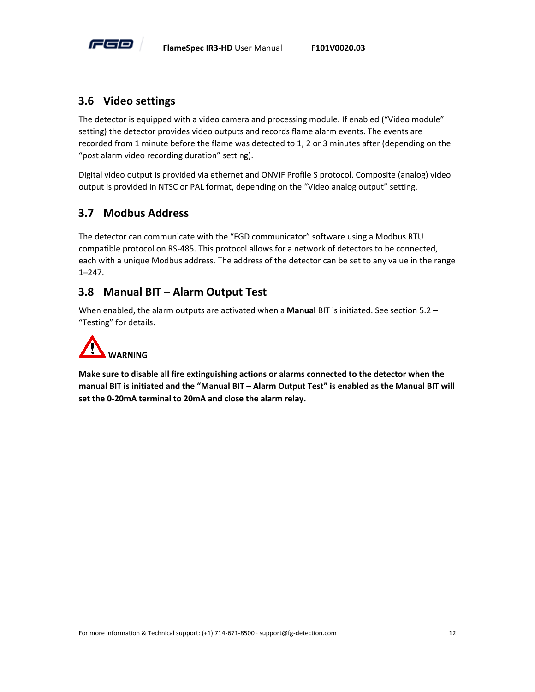

#### <span id="page-16-0"></span>**3.6 Video settings**

The detector is equipped with a video camera and processing module. If enabled ("Video module" setting) the detector provides video outputs and records flame alarm events. The events are recorded from 1 minute before the flame was detected to 1, 2 or 3 minutes after (depending on the "post alarm video recording duration" setting).

Digital video output is provided via ethernet and ONVIF Profile S protocol. Composite (analog) video output is provided in NTSC or PAL format, depending on the "Video analog output" setting.

#### <span id="page-16-1"></span>**3.7 Modbus Address**

The detector can communicate with the "FGD communicator" software using a Modbus RTU compatible protocol on RS-485. This protocol allows for a network of detectors to be connected, each with a unique Modbus address. The address of the detector can be set to any value in the range 1–247.

#### <span id="page-16-2"></span>**3.8 Manual BIT – Alarm Output Test**

When enabled, the alarm outputs are activated when a **Manual** BIT is initiated. See section [5.2](#page-23-0) – "[Testing](#page-23-0)" for details.



**Make sure to disable all fire extinguishing actions or alarms connected to the detector when the manual BIT is initiated and the "Manual BIT – Alarm Output Test" is enabled as the Manual BIT will set the 0-20mA terminal to 20mA and close the alarm relay.**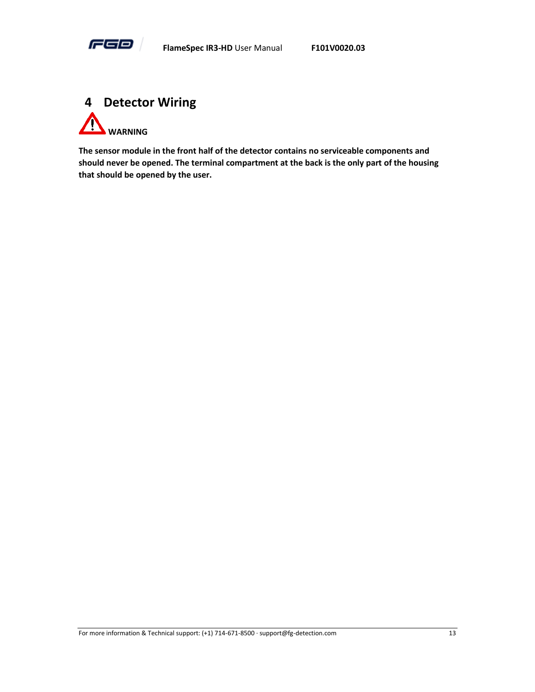

<span id="page-17-0"></span>

**The sensor module in the front half of the detector contains no serviceable components and should never be opened. The terminal compartment at the back is the only part of the housing that should be opened by the user.**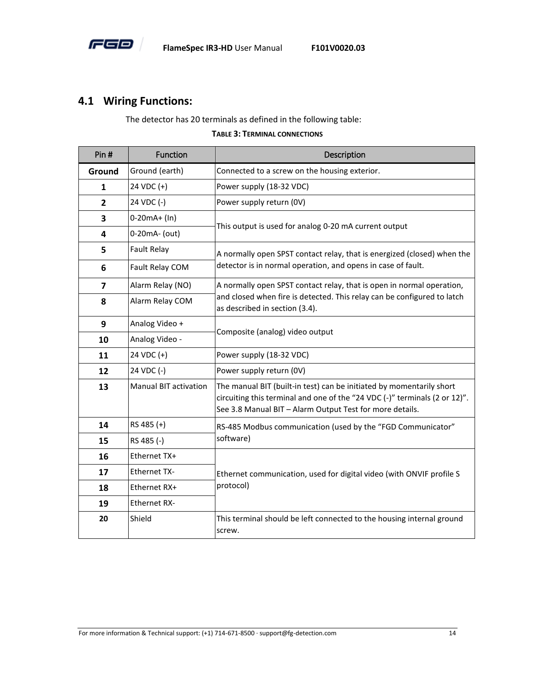

#### <span id="page-18-0"></span>**4.1 Wiring Functions:**

The detector has 20 terminals as defined in the following table:

#### **TABLE 3: TERMINAL CONNECTIONS**

<span id="page-18-1"></span>

| Pin#                    | Function                     | Description                                                                                                                                                                                                    |  |  |
|-------------------------|------------------------------|----------------------------------------------------------------------------------------------------------------------------------------------------------------------------------------------------------------|--|--|
| Ground                  | Ground (earth)               | Connected to a screw on the housing exterior.                                                                                                                                                                  |  |  |
| 1                       | 24 VDC (+)                   | Power supply (18-32 VDC)                                                                                                                                                                                       |  |  |
| $\mathbf{2}$            | 24 VDC (-)                   | Power supply return (OV)                                                                                                                                                                                       |  |  |
| 3                       | $0-20mA+ (In)$               |                                                                                                                                                                                                                |  |  |
| 4                       | 0-20mA- (out)                | This output is used for analog 0-20 mA current output                                                                                                                                                          |  |  |
| 5                       | Fault Relay                  | A normally open SPST contact relay, that is energized (closed) when the                                                                                                                                        |  |  |
| 6                       | Fault Relay COM              | detector is in normal operation, and opens in case of fault.                                                                                                                                                   |  |  |
| $\overline{\mathbf{z}}$ | Alarm Relay (NO)             | A normally open SPST contact relay, that is open in normal operation,                                                                                                                                          |  |  |
| 8                       | Alarm Relay COM              | and closed when fire is detected. This relay can be configured to latch<br>as described in section (3.4).                                                                                                      |  |  |
| 9                       | Analog Video +               | Composite (analog) video output                                                                                                                                                                                |  |  |
| 10                      | Analog Video -               |                                                                                                                                                                                                                |  |  |
| 11                      | 24 VDC (+)                   | Power supply (18-32 VDC)                                                                                                                                                                                       |  |  |
| 12                      | 24 VDC (-)                   | Power supply return (OV)                                                                                                                                                                                       |  |  |
| 13                      | <b>Manual BIT activation</b> | The manual BIT (built-in test) can be initiated by momentarily short<br>circuiting this terminal and one of the "24 VDC (-)" terminals (2 or 12)".<br>See 3.8 Manual BIT - Alarm Output Test for more details. |  |  |
| 14                      | RS 485 (+)                   | RS-485 Modbus communication (used by the "FGD Communicator"                                                                                                                                                    |  |  |
| 15                      | RS 485 (-)                   | software)                                                                                                                                                                                                      |  |  |
| 16                      | Ethernet TX+                 |                                                                                                                                                                                                                |  |  |
| 17                      | <b>Ethernet TX-</b>          | Ethernet communication, used for digital video (with ONVIF profile S                                                                                                                                           |  |  |
| 18                      | Ethernet RX+                 | protocol)                                                                                                                                                                                                      |  |  |
| 19                      | <b>Ethernet RX-</b>          |                                                                                                                                                                                                                |  |  |
| 20                      | Shield                       | This terminal should be left connected to the housing internal ground<br>screw.                                                                                                                                |  |  |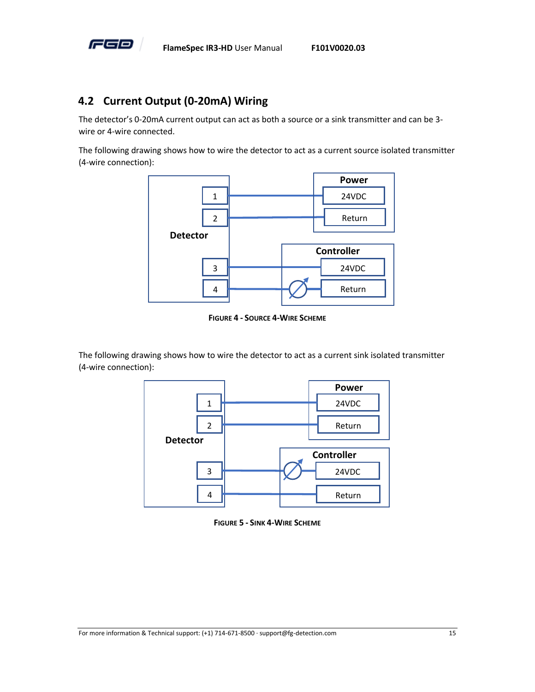

#### <span id="page-19-0"></span>**4.2 Current Output (0-20mA) Wiring**

The detector's 0-20mA current output can act as both a source or a sink transmitter and can be 3 wire or 4-wire connected.

The following drawing shows how to wire the detector to act as a current source isolated transmitter (4-wire connection):



**FIGURE 4 - SOURCE 4-WIRE SCHEME**

<span id="page-19-1"></span>The following drawing shows how to wire the detector to act as a current sink isolated transmitter (4-wire connection):



<span id="page-19-2"></span>**FIGURE 5 - SINK 4-WIRE SCHEME**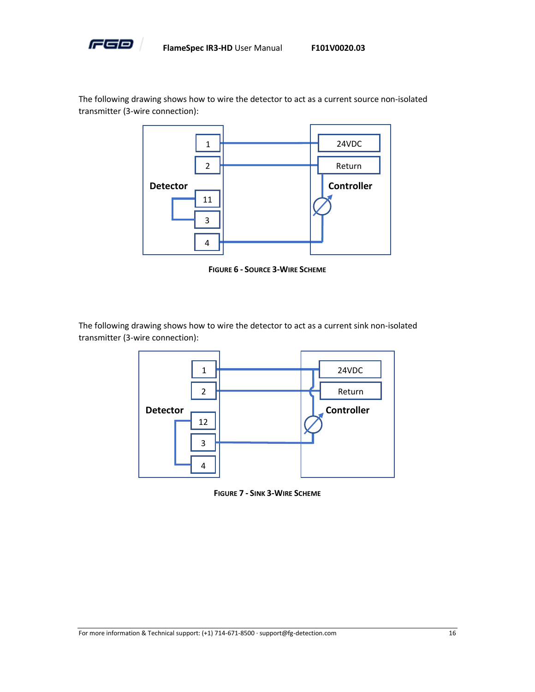

The following drawing shows how to wire the detector to act as a current source non-isolated transmitter (3-wire connection):



**FIGURE 6 - SOURCE 3-WIRE SCHEME**

<span id="page-20-0"></span>The following drawing shows how to wire the detector to act as a current sink non-isolated transmitter (3-wire connection):



<span id="page-20-1"></span>**FIGURE 7 - SINK 3-WIRE SCHEME**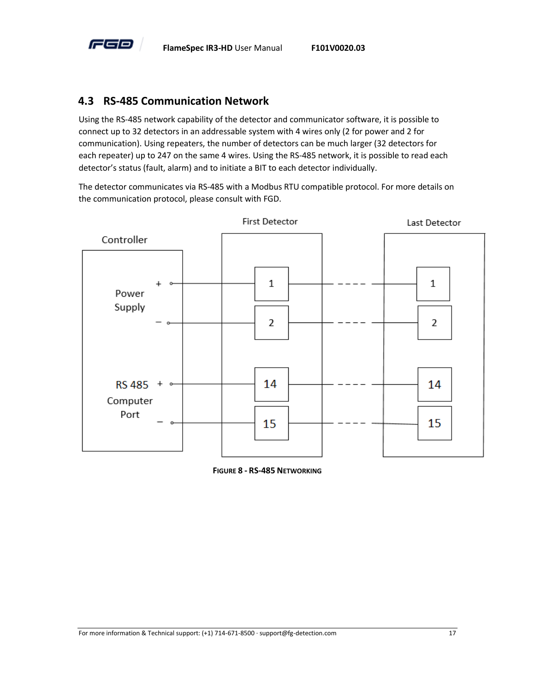

#### <span id="page-21-0"></span>**4.3 RS-485 Communication Network**

Using the RS-485 network capability of the detector and communicator software, it is possible to connect up to 32 detectors in an addressable system with 4 wires only (2 for power and 2 for communication). Using repeaters, the number of detectors can be much larger (32 detectors for each repeater) up to 247 on the same 4 wires. Using the RS-485 network, it is possible to read each detector's status (fault, alarm) and to initiate a BIT to each detector individually.

The detector communicates via RS-485 with a Modbus RTU compatible protocol. For more details on the communication protocol, please consult with FGD.



<span id="page-21-1"></span>**FIGURE 8 - RS-485 NETWORKING**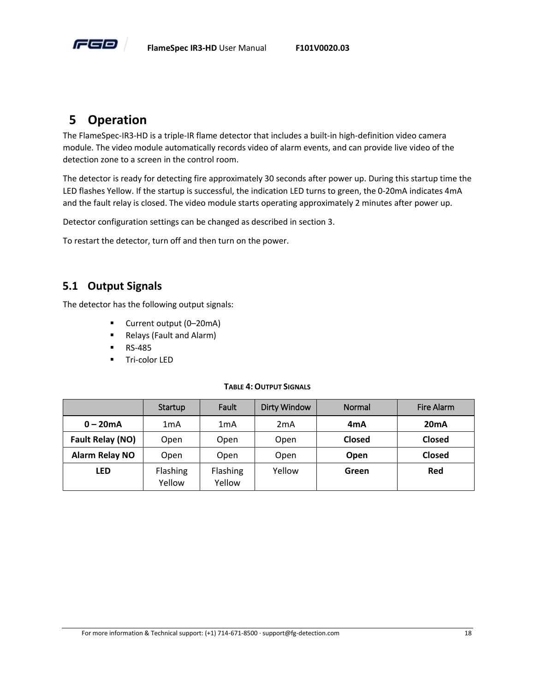

#### <span id="page-22-0"></span>**5 Operation**

The FlameSpec-IR3-HD is a triple-IR flame detector that includes a built-in high-definition video camera module. The video module automatically records video of alarm events, and can provide live video of the detection zone to a screen in the control room.

The detector is ready for detecting fire approximately 30 seconds after power up. During this startup time the LED flashes Yellow. If the startup is successful, the indication LED turns to green, the 0-20mA indicates 4mA and the fault relay is closed. The video module starts operating approximately 2 minutes after power up.

Detector configuration settings can be changed as described in section [3.](#page-14-0)

To restart the detector, turn off and then turn on the power.

#### <span id="page-22-1"></span>**5.1 Output Signals**

The detector has the following output signals:

- Current output (0–20mA)
- Relays (Fault and Alarm)
- RS-485
- Tri-color LED

#### **TABLE 4:OUTPUT SIGNALS**

<span id="page-22-2"></span>

|                       | Startup            | <b>Fault</b>       | <b>Dirty Window</b> | Normal        | Fire Alarm    |
|-----------------------|--------------------|--------------------|---------------------|---------------|---------------|
| $0 - 20mA$            | 1mA                | 1mA                | 2 <sub>m</sub> A    | 4mA           | 20mA          |
| Fault Relay (NO)      | Open               | Open               | Open                | <b>Closed</b> | <b>Closed</b> |
| <b>Alarm Relay NO</b> | Open               | Open               | Open                | Open          | <b>Closed</b> |
| <b>LED</b>            | Flashing<br>Yellow | Flashing<br>Yellow | Yellow              | Green         | Red           |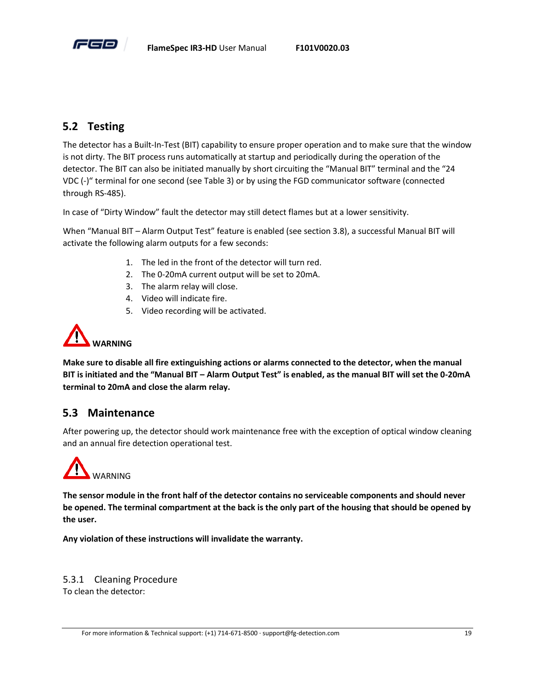

#### <span id="page-23-0"></span>**5.2 Testing**

The detector has a Built-In-Test (BIT) capability to ensure proper operation and to make sure that the window is not dirty. The BIT process runs automatically at startup and periodically during the operation of the detector. The BIT can also be initiated manually by short circuiting the "Manual BIT" terminal and the "24 VDC (-)" terminal for one second (se[e Table 3\)](#page-18-1) or by using the FGD communicator software (connected through RS-485).

In case of "Dirty Window" fault the detector may still detect flames but at a lower sensitivity.

When "Manual BIT – [Alarm Output Test](#page-16-2)" feature is enabled (see section [3.8\)](#page-16-2), a successful Manual BIT will activate the following alarm outputs for a few seconds:

- 1. The led in the front of the detector will turn red.
- 2. The 0-20mA current output will be set to 20mA.
- 3. The alarm relay will close.
- 4. Video will indicate fire.
- 5. Video recording will be activated.



**Make sure to disable all fire extinguishing actions or alarms connected to the detector, when the manual BIT is initiated and the "Manual BIT – Alarm Output Test" is enabled, as the manual BIT will set the 0-20mA terminal to 20mA and close the alarm relay.**

#### <span id="page-23-1"></span>**5.3 Maintenance**

After powering up, the detector should work maintenance free with the exception of optical window cleaning and an annual fire detection operational test.



**The sensor module in the front half of the detector contains no serviceable components and should never be opened. The terminal compartment at the back is the only part of the housing that should be opened by the user.** 

**Any violation of these instructions will invalidate the warranty.**

5.3.1 Cleaning Procedure To clean the detector: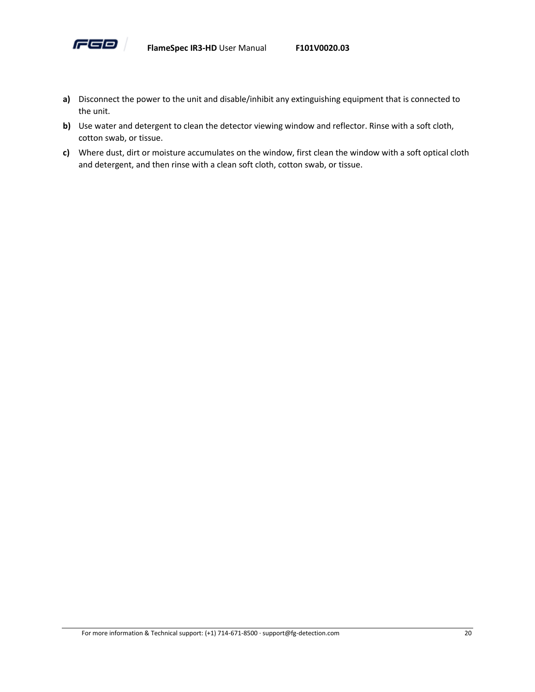

- **a)** Disconnect the power to the unit and disable/inhibit any extinguishing equipment that is connected to the unit.
- **b)** Use water and detergent to clean the detector viewing window and reflector. Rinse with a soft cloth, cotton swab, or tissue.
- **c)** Where dust, dirt or moisture accumulates on the window, first clean the window with a soft optical cloth and detergent, and then rinse with a clean soft cloth, cotton swab, or tissue.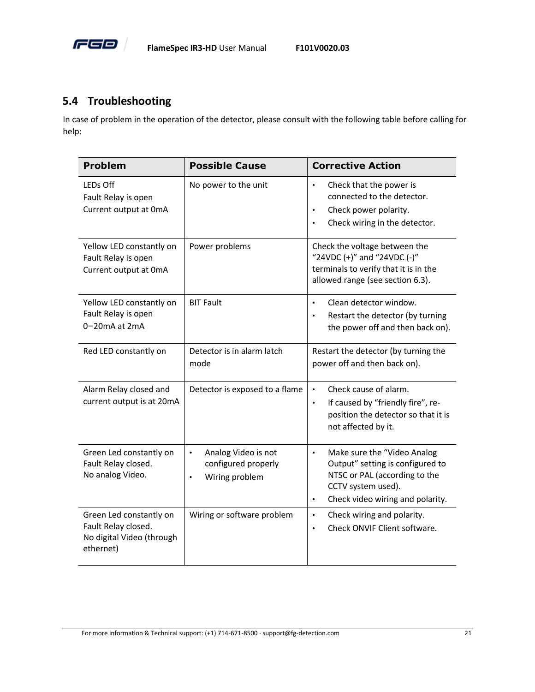

#### <span id="page-25-0"></span>**5.4 Troubleshooting**

In case of problem in the operation of the detector, please consult with the following table before calling for help:

| <b>Problem</b>                                                                           | <b>Possible Cause</b>                                                                  | <b>Corrective Action</b>                                                                                                                                                             |
|------------------------------------------------------------------------------------------|----------------------------------------------------------------------------------------|--------------------------------------------------------------------------------------------------------------------------------------------------------------------------------------|
| LEDs Off<br>Fault Relay is open<br>Current output at OmA                                 | No power to the unit                                                                   | Check that the power is<br>$\bullet$<br>connected to the detector.<br>Check power polarity.<br>$\bullet$<br>Check wiring in the detector.<br>$\bullet$                               |
| Yellow LED constantly on<br>Fault Relay is open<br>Current output at OmA                 | Power problems                                                                         | Check the voltage between the<br>"24VDC (+)" and "24VDC (-)"<br>terminals to verify that it is in the<br>allowed range (see section 6.3).                                            |
| Yellow LED constantly on<br>Fault Relay is open<br>0-20mA at 2mA                         | <b>BIT Fault</b>                                                                       | Clean detector window.<br>$\bullet$<br>Restart the detector (by turning<br>$\bullet$<br>the power off and then back on).                                                             |
| Red LED constantly on                                                                    | Detector is in alarm latch<br>mode                                                     | Restart the detector (by turning the<br>power off and then back on).                                                                                                                 |
| Alarm Relay closed and<br>current output is at 20mA                                      | Detector is exposed to a flame                                                         | Check cause of alarm.<br>$\bullet$<br>If caused by "friendly fire", re-<br>$\bullet$<br>position the detector so that it is<br>not affected by it.                                   |
| Green Led constantly on<br>Fault Relay closed.<br>No analog Video.                       | Analog Video is not<br>$\bullet$<br>configured properly<br>Wiring problem<br>$\bullet$ | Make sure the "Video Analog<br>$\bullet$<br>Output" setting is configured to<br>NTSC or PAL (according to the<br>CCTV system used).<br>Check video wiring and polarity.<br>$\bullet$ |
| Green Led constantly on<br>Fault Relay closed.<br>No digital Video (through<br>ethernet) | Wiring or software problem                                                             | Check wiring and polarity.<br>$\bullet$<br>Check ONVIF Client software.<br>$\bullet$                                                                                                 |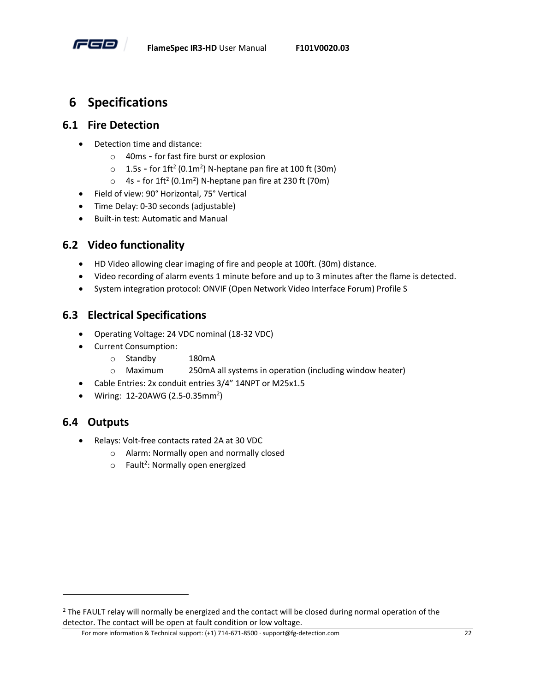

#### <span id="page-26-0"></span>**6 Specifications**

#### <span id="page-26-1"></span>**6.1 Fire Detection**

- Detection time and distance:
	- o 40ms for fast fire burst or explosion
	- $\circ$  1.5s for 1ft<sup>2</sup> (0.1m<sup>2</sup>) N-heptane pan fire at 100 ft (30m)
	- $\circ$  4s for 1ft<sup>2</sup> (0.1m<sup>2</sup>) N-heptane pan fire at 230 ft (70m)
- Field of view: 90° Horizontal, 75° Vertical
- Time Delay: 0-30 seconds (adjustable)
- Built-in test: Automatic and Manual

#### <span id="page-26-2"></span>**6.2 Video functionality**

- HD Video allowing clear imaging of fire and people at 100ft. (30m) distance.
- Video recording of alarm events 1 minute before and up to 3 minutes after the flame is detected.
- System integration protocol: ONVIF (Open Network Video Interface Forum) Profile S

#### <span id="page-26-3"></span>**6.3 Electrical Specifications**

- Operating Voltage: 24 VDC nominal (18-32 VDC)
- Current Consumption:
	- o Standby 180mA
	- o Maximum 250mA all systems in operation (including window heater)
- Cable Entries: 2x conduit entries 3/4" 14NPT or M25x1.5
- Wiring: 12-20AWG (2.5-0.35mm<sup>2</sup>)

#### <span id="page-26-4"></span>**6.4 Outputs**

 $\overline{a}$ 

- Relays: Volt-free contacts rated 2A at 30 VDC
	- o Alarm: Normally open and normally closed
	- $\circ$  Fault<sup>2</sup>: Normally open energized

For more information & Technical support: (+1) 714-671-8500 · support@fg-detection.com 22

<sup>&</sup>lt;sup>2</sup> The FAULT relay will normally be energized and the contact will be closed during normal operation of the detector. The contact will be open at fault condition or low voltage.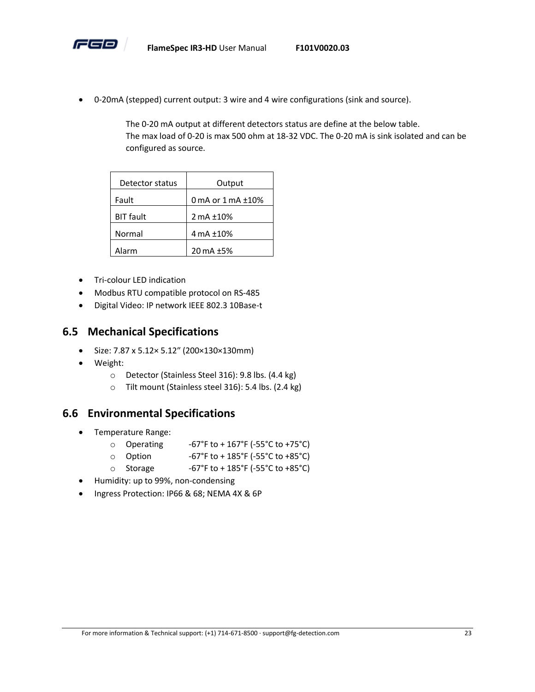

• 0-20mA (stepped) current output: 3 wire and 4 wire configurations (sink and source).

The 0-20 mA output at different detectors status are define at the below table. The max load of 0-20 is max 500 ohm at 18-32 VDC. The 0-20 mA is sink isolated and can be configured as source.

| Detector status  | Output                   |
|------------------|--------------------------|
| Fault            | 0 mA or $1$ mA $\pm$ 10% |
| <b>BIT</b> fault | 2 mA ±10%                |
| Normal           | 4 mA ±10%                |
| Alarm            | 20 mA ±5%                |

- Tri-colour LED indication
- Modbus RTU compatible protocol on RS-485
- Digital Video: IP network IEEE 802.3 10Base-t

#### <span id="page-27-0"></span>**6.5 Mechanical Specifications**

- Size: 7.87 x 5.12× 5.12″ (200×130×130mm)
- Weight:
	- o Detector (Stainless Steel 316): 9.8 lbs. (4.4 kg)
	- o Tilt mount (Stainless steel 316): 5.4 lbs. (2.4 kg)

#### <span id="page-27-1"></span>**6.6 Environmental Specifications**

- Temperature Range:
	- $\circ$  Operating -67°F to +167°F (-55°C to +75°C)
	- o Option  $-67°$ F to + 185°F (-55°C to +85°C)
	- o Storage  $-67°$ F to + 185°F (-55°C to +85°C)
- Humidity: up to 99%, non-condensing
- Ingress Protection: IP66 & 68; NEMA 4X & 6P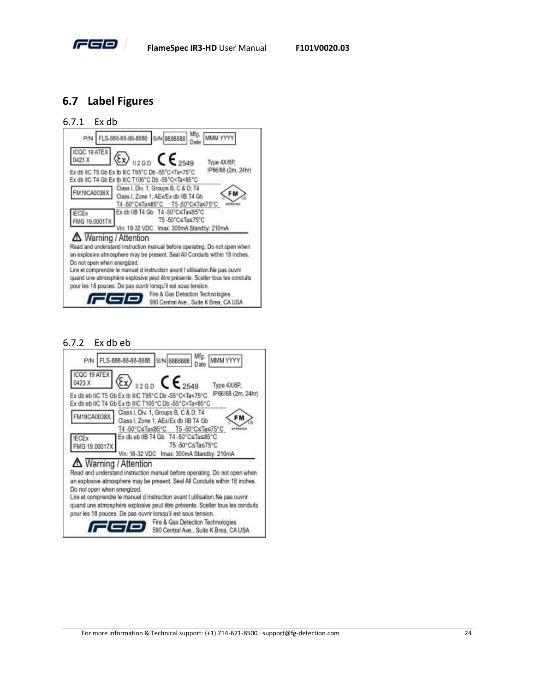

#### <span id="page-28-0"></span>**6.7 Label Figures**

#### 6.7.1 Ex db



#### 6.7.2 Ex db eb

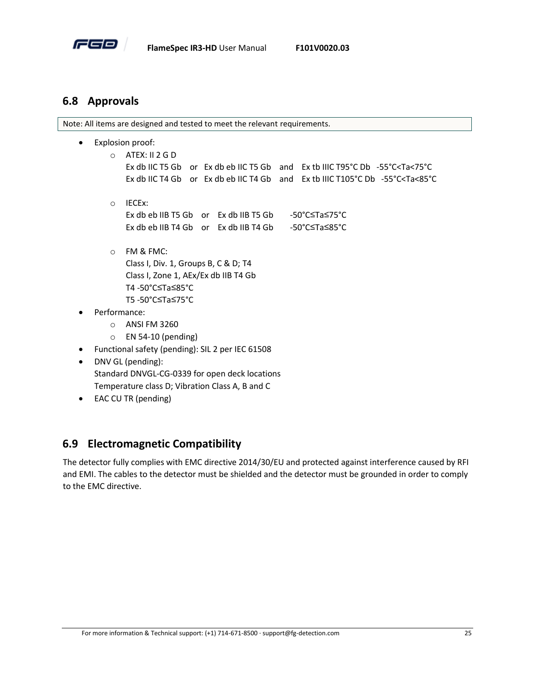

#### <span id="page-29-0"></span>**6.8 Approvals**

Note: All items are designed and tested to meet the relevant requirements.

- Explosion proof:
	- o ATEX: II 2 G D

Ex db IIC T5 Gb or Ex db eb IIC T5 Gb and Ex tb IIIC T95°C Db -55°C<Ta<75°C Ex db IIC T4 Gb or Ex db eb IIC T4 Gb and Ex tb IIIC T105°C Db -55°C<Ta<85°C

- o IECEx: Ex db eb IIB T5 Gb or Ex db IIB T5 Gb -50°C≤Ta≤75°C Ex db eb IIB T4 Gb or Ex db IIB T4 Gb -50°C≤Ta≤85°C
- o FM & FMC:

Class I, Div. 1, Groups B, C & D; T4 Class I, Zone 1, AEx/Ex db IIB T4 Gb T4 -50°C≤Ta≤85°C T5 -50°C≤Ta≤75°C

- Performance:
	- o ANSI FM 3260
	- o EN 54-10 (pending)
- Functional safety (pending): SIL 2 per IEC 61508
- DNV GL (pending): Standard DNVGL-CG-0339 for open deck locations Temperature class D; Vibration Class A, B and C
- EAC CU TR (pending)

#### <span id="page-29-1"></span>**6.9 Electromagnetic Compatibility**

The detector fully complies with EMC directive 2014/30/EU and protected against interference caused by RFI and EMI. The cables to the detector must be shielded and the detector must be grounded in order to comply to the EMC directive.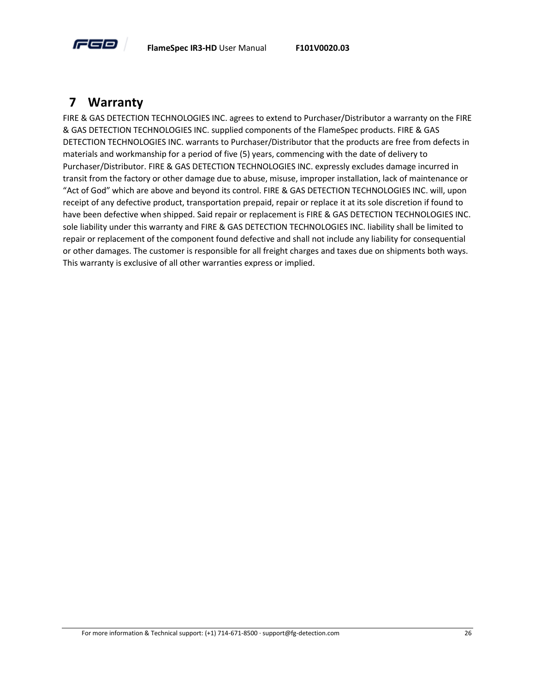

#### <span id="page-30-0"></span>**7 Warranty**

FIRE & GAS DETECTION TECHNOLOGIES INC. agrees to extend to Purchaser/Distributor a warranty on the FIRE & GAS DETECTION TECHNOLOGIES INC. supplied components of the FlameSpec products. FIRE & GAS DETECTION TECHNOLOGIES INC. warrants to Purchaser/Distributor that the products are free from defects in materials and workmanship for a period of five (5) years, commencing with the date of delivery to Purchaser/Distributor. FIRE & GAS DETECTION TECHNOLOGIES INC. expressly excludes damage incurred in transit from the factory or other damage due to abuse, misuse, improper installation, lack of maintenance or "Act of God" which are above and beyond its control. FIRE & GAS DETECTION TECHNOLOGIES INC. will, upon receipt of any defective product, transportation prepaid, repair or replace it at its sole discretion if found to have been defective when shipped. Said repair or replacement is FIRE & GAS DETECTION TECHNOLOGIES INC. sole liability under this warranty and FIRE & GAS DETECTION TECHNOLOGIES INC. liability shall be limited to repair or replacement of the component found defective and shall not include any liability for consequential or other damages. The customer is responsible for all freight charges and taxes due on shipments both ways. This warranty is exclusive of all other warranties express or implied.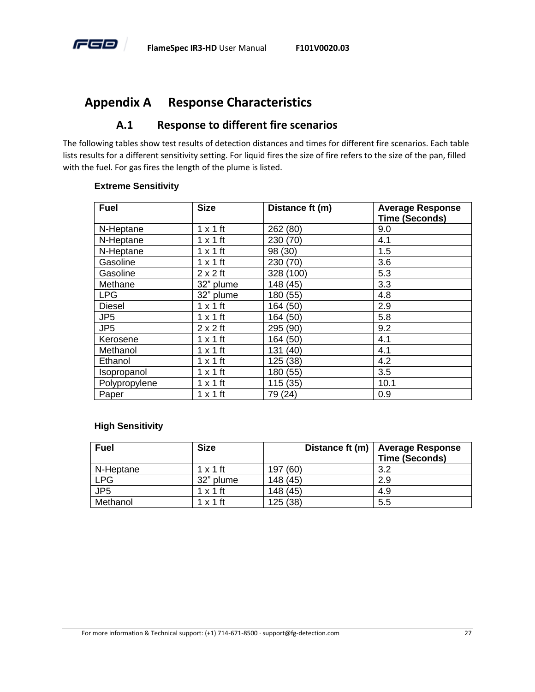

#### <span id="page-31-0"></span>**Appendix A Response Characteristics**

#### **A.1 Response to different fire scenarios**

<span id="page-31-1"></span>The following tables show test results of detection distances and times for different fire scenarios. Each table lists results for a different sensitivity setting. For liquid fires the size of fire refers to the size of the pan, filled with the fuel. For gas fires the length of the plume is listed.

| <b>Fuel</b>     | <b>Size</b>     | Distance ft (m) | <b>Average Response</b><br><b>Time (Seconds)</b> |
|-----------------|-----------------|-----------------|--------------------------------------------------|
| N-Heptane       | $1 \times 1$ ft | 262 (80)        | 9.0                                              |
| N-Heptane       | $1 \times 1$ ft | 230 (70)        | 4.1                                              |
| N-Heptane       | $1 \times 1$ ft | 98 (30)         | 1.5                                              |
| Gasoline        | $1 \times 1$ ft | 230 (70)        | 3.6                                              |
| Gasoline        | $2 \times 2$ ft | 328 (100)       | 5.3                                              |
| Methane         | 32" plume       | 148 (45)        | 3.3                                              |
| <b>LPG</b>      | 32" plume       | 180 (55)        | 4.8                                              |
| <b>Diesel</b>   | $1 \times 1$ ft | 164 (50)        | 2.9                                              |
| JP <sub>5</sub> | $1 \times 1$ ft | 164 (50)        | 5.8                                              |
| JP <sub>5</sub> | $2 \times 2$ ft | 295 (90)        | 9.2                                              |
| Kerosene        | $1 \times 1$ ft | 164 (50)        | 4.1                                              |
| Methanol        | $1 \times 1$ ft | 131 (40)        | 4.1                                              |
| Ethanol         | $1 \times 1$ ft | 125 (38)        | 4.2                                              |
| Isopropanol     | $1 \times 1$ ft | 180 (55)        | 3.5                                              |
| Polypropylene   | $1 \times 1$ ft | 115(35)         | 10.1                                             |
| Paper           | $1 \times 1$ ft | 79 (24)         | 0.9                                              |

#### **Extreme Sensitivity**

#### **High Sensitivity**

| <b>Fuel</b>     | <b>Size</b>     | Distance ft (m) | <b>Average Response</b><br><b>Time (Seconds)</b> |
|-----------------|-----------------|-----------------|--------------------------------------------------|
| N-Heptane       | $1 \times 1$ ft | (60)<br>197     | 3.2                                              |
| <b>LPG</b>      | 32" plume       | 148 (45)        | 2.9                                              |
| JP <sub>5</sub> | $1 \times 1$ ft | 148(45)         | 4.9                                              |
| Methanol        | $1 \times 1$ ft | 125(38)         | 5.5                                              |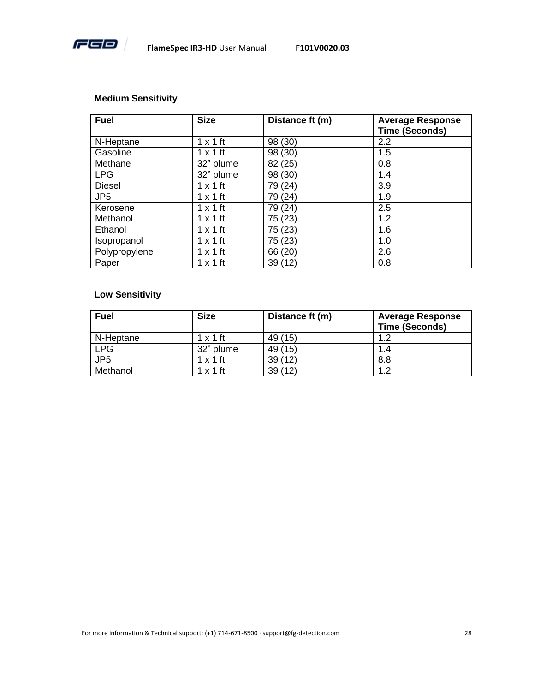

#### **Medium Sensitivity**

| <b>Fuel</b>     | <b>Size</b>     | Distance ft (m) | <b>Average Response</b><br><b>Time (Seconds)</b> |
|-----------------|-----------------|-----------------|--------------------------------------------------|
| N-Heptane       | $1 \times 1$ ft | 98 (30)         | 2.2                                              |
| Gasoline        | $1 \times 1$ ft | 98 (30)         | 1.5                                              |
| Methane         | 32" plume       | 82 (25)         | 0.8                                              |
| <b>LPG</b>      | 32" plume       | 98 (30)         | 1.4                                              |
| <b>Diesel</b>   | $1 \times 1$ ft | 79 (24)         | 3.9                                              |
| JP <sub>5</sub> | $1 \times 1$ ft | 79 (24)         | 1.9                                              |
| Kerosene        | $1 \times 1$ ft | 79 (24)         | 2.5                                              |
| Methanol        | $1 \times 1$ ft | 75 (23)         | 1.2                                              |
| Ethanol         | $1 \times 1$ ft | 75 (23)         | 1.6                                              |
| Isopropanol     | $1 \times 1$ ft | 75 (23)         | 1.0                                              |
| Polypropylene   | $1 \times 1$ ft | 66 (20)         | 2.6                                              |
| Paper           | $1 \times 1$ ft | 39 (12)         | 0.8                                              |

#### **Low Sensitivity**

| <b>Fuel</b>     | <b>Size</b>     | Distance ft (m) | <b>Average Response</b><br><b>Time (Seconds)</b> |
|-----------------|-----------------|-----------------|--------------------------------------------------|
| N-Heptane       | $1 \times 1$ ft | 49 (15)         | 1.2                                              |
| <b>LPG</b>      | 32" plume       | 49 (15)         | 1.4                                              |
| JP <sub>5</sub> | $1 \times 1$ ft | 39(12)          | 8.8                                              |
| Methanol        | $1 \times 1$ ft | 39(12)          | 1.2                                              |